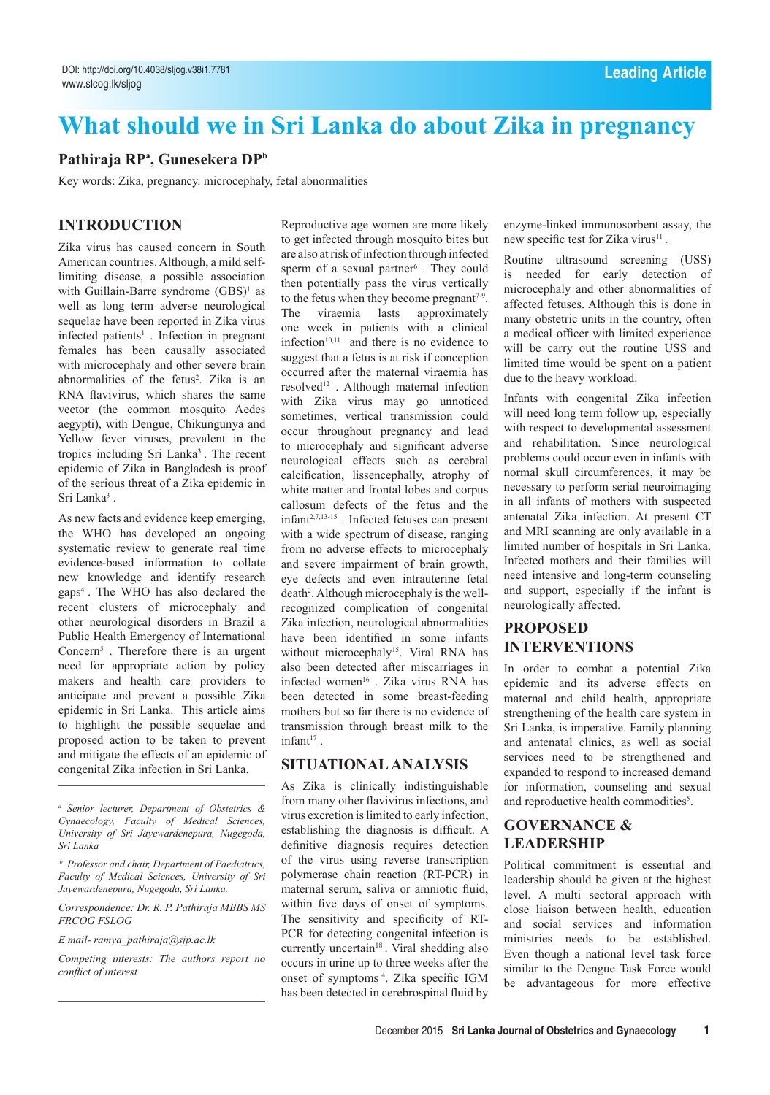# **What should we in Sri Lanka do about Zika in pregnancy**

# **Pathiraja RPa , Gunesekera DPb**

Key words: Zika, pregnancy. microcephaly, fetal abnormalities

# **Introduction**

Zika virus has caused concern in South American countries. Although, a mild selflimiting disease, a possible association with Guillain-Barre syndrome  $(GBS)^1$  as well as long term adverse neurological sequelae have been reported in Zika virus infected patients<sup>1</sup>. Infection in pregnant females has been causally associated with microcephaly and other severe brain abnormalities of the fetus<sup>2</sup>. Zika is an RNA flavivirus, which shares the same vector (the common mosquito Aedes aegypti), with Dengue, Chikungunya and Yellow fever viruses, prevalent in the tropics including Sri Lanka3 . The recent epidemic of Zika in Bangladesh is proof of the serious threat of a Zika epidemic in Sri Lanka<sup>3</sup>.

As new facts and evidence keep emerging, the WHO has developed an ongoing systematic review to generate real time evidence-based information to collate new knowledge and identify research gaps4 . The WHO has also declared the recent clusters of microcephaly and other neurological disorders in Brazil a Public Health Emergency of International Concern5 . Therefore there is an urgent need for appropriate action by policy makers and health care providers to anticipate and prevent a possible Zika epidemic in Sri Lanka. This article aims to highlight the possible sequelae and proposed action to be taken to prevent and mitigate the effects of an epidemic of congenital Zika infection in Sri Lanka.

*Correspondence: Dr. R. P. Pathiraja MBBS MS FRCOG FSLOG*

*E mail- ramya\_pathiraja@sjp.ac.lk*

Reproductive age women are more likely to get infected through mosquito bites but are also at risk of infection through infected sperm of a sexual partner<sup>6</sup>. They could then potentially pass the virus vertically to the fetus when they become pregnant<sup> $7-9$ </sup>. The viraemia lasts approximately one week in patients with a clinical infection $10,11$  and there is no evidence to suggest that a fetus is at risk if conception occurred after the maternal viraemia has resolved<sup>12</sup>. Although maternal infection with Zika virus may go unnoticed sometimes, vertical transmission could occur throughout pregnancy and lead to microcephaly and significant adverse neurological effects such as cerebral calcification, lissencephally, atrophy of white matter and frontal lobes and corpus callosum defects of the fetus and the infant2,7,13-15 . Infected fetuses can present with a wide spectrum of disease, ranging from no adverse effects to microcephaly and severe impairment of brain growth, eye defects and even intrauterine fetal death<sup>2</sup>. Although microcephaly is the wellrecognized complication of congenital Zika infection, neurological abnormalities have been identified in some infants without microcephaly<sup>15</sup>. Viral RNA has also been detected after miscarriages in infected women<sup>16</sup>. Zika virus RNA has been detected in some breast-feeding mothers but so far there is no evidence of transmission through breast milk to the  $infant<sup>17</sup>$ .

# **Situationalanalysis**

As Zika is clinically indistinguishable from many other flavivirus infections, and virus excretion is limited to early infection, establishing the diagnosis is difficult. A definitive diagnosis requires detection of the virus using reverse transcription polymerase chain reaction (RT-PCR) in maternal serum, saliva or amniotic fluid, within five days of onset of symptoms. The sensitivity and specificity of RT-PCR for detecting congenital infection is currently uncertain<sup>18</sup>. Viral shedding also occurs in urine up to three weeks after the onset of symptoms 4. Zika specific IGM has been detected in cerebrospinal fluid by enzyme-linked immunosorbent assay, the new specific test for Zika virus<sup>11</sup>.

Routine ultrasound screening (USS) is needed for early detection of microcephaly and other abnormalities of affected fetuses. Although this is done in many obstetric units in the country, often a medical officer with limited experience will be carry out the routine USS and limited time would be spent on a patient due to the heavy workload.

Infants with congenital Zika infection will need long term follow up, especially with respect to developmental assessment and rehabilitation. Since neurological problems could occur even in infants with normal skull circumferences, it may be necessary to perform serial neuroimaging in all infants of mothers with suspected antenatal Zika infection. At present CT and MRI scanning are only available in a limited number of hospitals in Sri Lanka. Infected mothers and their families will need intensive and long-term counseling and support, especially if the infant is neurologically affected.

# **Proposed interventions**

In order to combat a potential Zika epidemic and its adverse effects on maternal and child health, appropriate strengthening of the health care system in Sri Lanka, is imperative. Family planning and antenatal clinics, as well as social services need to be strengthened and expanded to respond to increased demand for information, counseling and sexual and reproductive health commodities<sup>5</sup>.

# **Governance & leadership**

Political commitment is essential and leadership should be given at the highest level. A multi sectoral approach with close liaison between health, education and social services and information ministries needs to be established. Even though a national level task force similar to the Dengue Task Force would be advantageous for more effective

*a Senior lecturer, Department of Obstetrics & Gynaecology, Faculty of Medical Sciences, University of Sri Jayewardenepura, Nugegoda, Sri Lanka*

*b Professor and chair, Department of Paediatrics, Faculty of Medical Sciences, University of Sri Jayewardenepura, Nugegoda, Sri Lanka.* 

*Competing interests: The authors report no conflict of interest*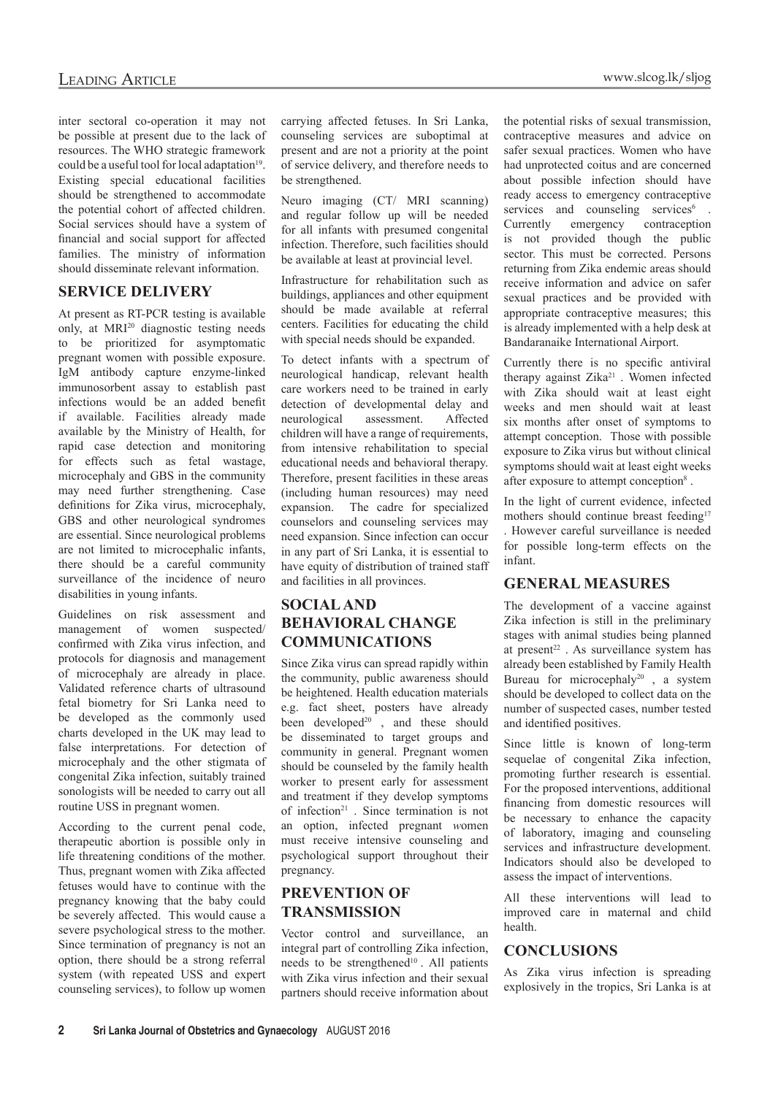inter sectoral co-operation it may not be possible at present due to the lack of resources. The WHO strategic framework could be a useful tool for local adaptation $19$ . Existing special educational facilities should be strengthened to accommodate the potential cohort of affected children. Social services should have a system of financial and social support for affected families. The ministry of information should disseminate relevant information.

#### **Service delivery**

At present as RT-PCR testing is available only, at MRI<sup>20</sup> diagnostic testing needs to be prioritized for asymptomatic pregnant women with possible exposure. IgM antibody capture enzyme-linked immunosorbent assay to establish past infections would be an added benefit if available. Facilities already made available by the Ministry of Health, for rapid case detection and monitoring for effects such as fetal wastage, microcephaly and GBS in the community may need further strengthening. Case definitions for Zika virus, microcephaly, GBS and other neurological syndromes are essential. Since neurological problems are not limited to microcephalic infants, there should be a careful community surveillance of the incidence of neuro disabilities in young infants.

Guidelines on risk assessment and management of women suspected/ confirmed with Zika virus infection, and protocols for diagnosis and management of microcephaly are already in place. Validated reference charts of ultrasound fetal biometry for Sri Lanka need to be developed as the commonly used charts developed in the UK may lead to false interpretations. For detection of microcephaly and the other stigmata of congenital Zika infection, suitably trained sonologists will be needed to carry out all routine USS in pregnant women.

According to the current penal code, therapeutic abortion is possible only in life threatening conditions of the mother. Thus, pregnant women with Zika affected fetuses would have to continue with the pregnancy knowing that the baby could be severely affected. This would cause a severe psychological stress to the mother. Since termination of pregnancy is not an option, there should be a strong referral system (with repeated USS and expert counseling services), to follow up women carrying affected fetuses. In Sri Lanka, counseling services are suboptimal at present and are not a priority at the point of service delivery, and therefore needs to be strengthened.

Neuro imaging (CT/ MRI scanning) and regular follow up will be needed for all infants with presumed congenital infection. Therefore, such facilities should be available at least at provincial level.

Infrastructure for rehabilitation such as buildings, appliances and other equipment should be made available at referral centers. Facilities for educating the child with special needs should be expanded.

To detect infants with a spectrum of neurological handicap, relevant health care workers need to be trained in early detection of developmental delay and neurological assessment. Affected children will have a range of requirements, from intensive rehabilitation to special educational needs and behavioral therapy. Therefore, present facilities in these areas (including human resources) may need expansion. The cadre for specialized counselors and counseling services may need expansion. Since infection can occur in any part of Sri Lanka, it is essential to have equity of distribution of trained staff and facilities in all provinces.

# **Socialand behavioral change communications**

Since Zika virus can spread rapidly within the community, public awareness should be heightened. Health education materials e.g. fact sheet, posters have already been developed $2^{0}$ , and these should be disseminated to target groups and community in general. Pregnant women should be counseled by the family health worker to present early for assessment and treatment if they develop symptoms of infection<sup>21</sup>. Since termination is not an option, infected pregnant *w*omen must receive intensive counseling and psychological support throughout their pregnancy.

# **Prevention of transmission**

Vector control and surveillance, an integral part of controlling Zika infection, needs to be strengthened<sup>10</sup>. All patients with Zika virus infection and their sexual partners should receive information about the potential risks of sexual transmission, contraceptive measures and advice on safer sexual practices. Women who have had unprotected coitus and are concerned about possible infection should have ready access to emergency contraceptive services and counseling services<sup>6</sup>. Currently emergency contraception is not provided though the public sector. This must be corrected. Persons returning from Zika endemic areas should receive information and advice on safer sexual practices and be provided with appropriate contraceptive measures; this is already implemented with a help desk at Bandaranaike International Airport.

Currently there is no specific antiviral therapy against Zika<sup>21</sup>. Women infected with Zika should wait at least eight weeks and men should wait at least six months after onset of symptoms to attempt conception. Those with possible exposure to Zika virus but without clinical symptoms should wait at least eight weeks after exposure to attempt conception<sup>8</sup>.

In the light of current evidence, infected mothers should continue breast feeding<sup>17</sup> . However careful surveillance is needed for possible long-term effects on the infant.

#### **General Measures**

The development of a vaccine against Zika infection is still in the preliminary stages with animal studies being planned at present<sup>22</sup>. As surveillance system has already been established by Family Health Bureau for microcephaly<sup>20</sup>, a system should be developed to collect data on the number of suspected cases, number tested and identified positives.

Since little is known of long-term sequelae of congenital Zika infection, promoting further research is essential. For the proposed interventions, additional financing from domestic resources will be necessary to enhance the capacity of laboratory, imaging and counseling services and infrastructure development. Indicators should also be developed to assess the impact of interventions.

All these interventions will lead to improved care in maternal and child health.

# **Conclusions**

As Zika virus infection is spreading explosively in the tropics, Sri Lanka is at